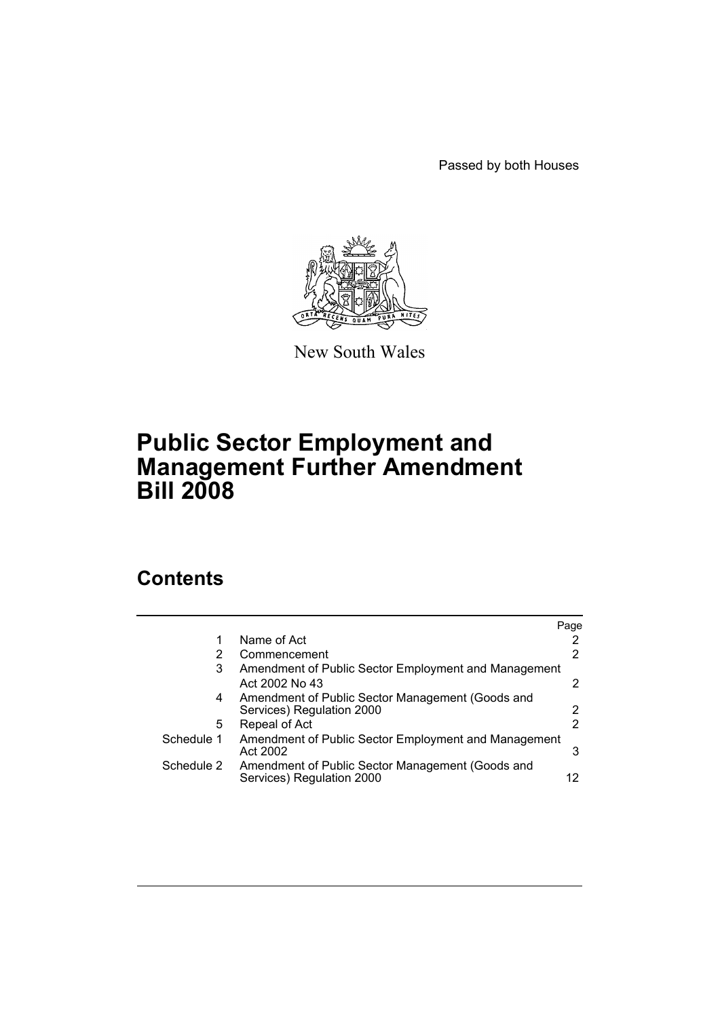Passed by both Houses



New South Wales

# **Public Sector Employment and Management Further Amendment Bill 2008**

# **Contents**

| 2                                                         |
|-----------------------------------------------------------|
|                                                           |
| 2                                                         |
| Amendment of Public Sector Employment and Management<br>2 |
| $\overline{2}$                                            |
| 2                                                         |
| Amendment of Public Sector Employment and Management<br>3 |
| 12                                                        |
|                                                           |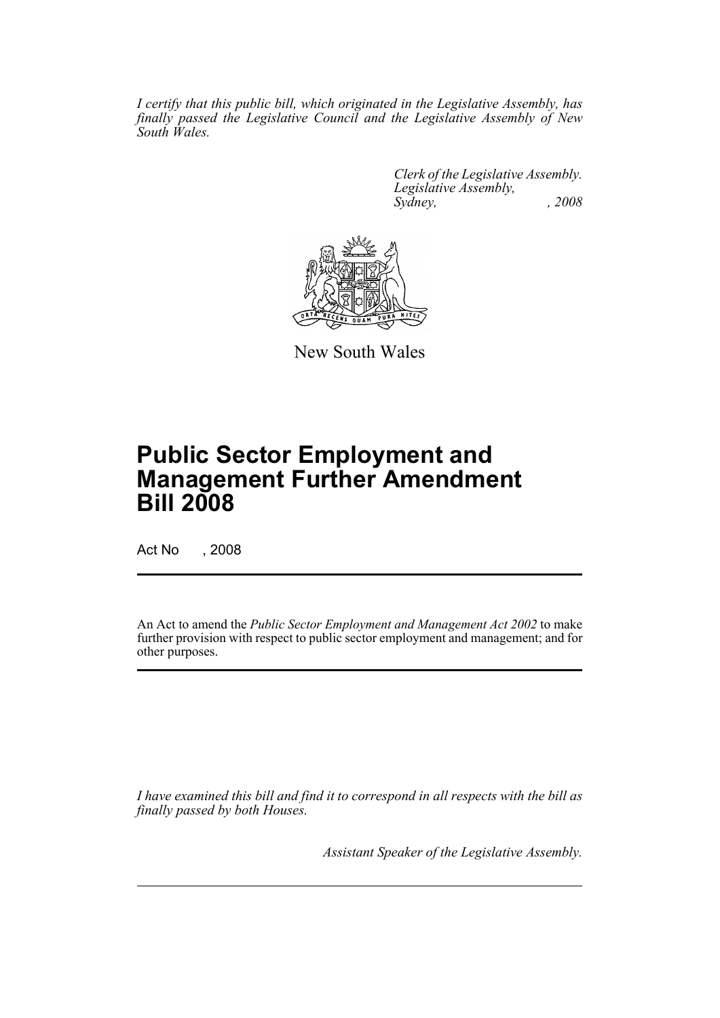*I certify that this public bill, which originated in the Legislative Assembly, has finally passed the Legislative Council and the Legislative Assembly of New South Wales.*

> *Clerk of the Legislative Assembly. Legislative Assembly, Sydney, , 2008*



New South Wales

# **Public Sector Employment and Management Further Amendment Bill 2008**

Act No , 2008

An Act to amend the *Public Sector Employment and Management Act 2002* to make further provision with respect to public sector employment and management; and for other purposes.

*I have examined this bill and find it to correspond in all respects with the bill as finally passed by both Houses.*

*Assistant Speaker of the Legislative Assembly.*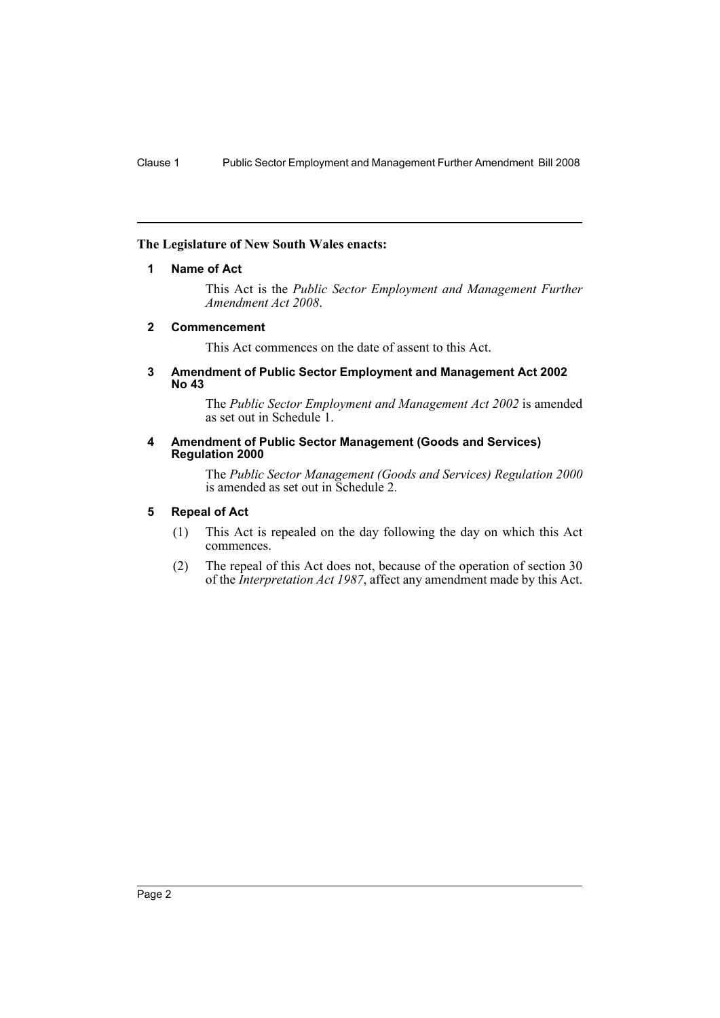## <span id="page-2-0"></span>**The Legislature of New South Wales enacts:**

#### **1 Name of Act**

This Act is the *Public Sector Employment and Management Further Amendment Act 2008*.

#### <span id="page-2-1"></span>**2 Commencement**

This Act commences on the date of assent to this Act.

#### <span id="page-2-2"></span>**3 Amendment of Public Sector Employment and Management Act 2002 No 43**

The *Public Sector Employment and Management Act 2002* is amended as set out in Schedule 1.

#### <span id="page-2-3"></span>**4 Amendment of Public Sector Management (Goods and Services) Regulation 2000**

The *Public Sector Management (Goods and Services) Regulation 2000* is amended as set out in Schedule 2.

#### <span id="page-2-4"></span>**5 Repeal of Act**

- (1) This Act is repealed on the day following the day on which this Act commences.
- (2) The repeal of this Act does not, because of the operation of section 30 of the *Interpretation Act 1987*, affect any amendment made by this Act.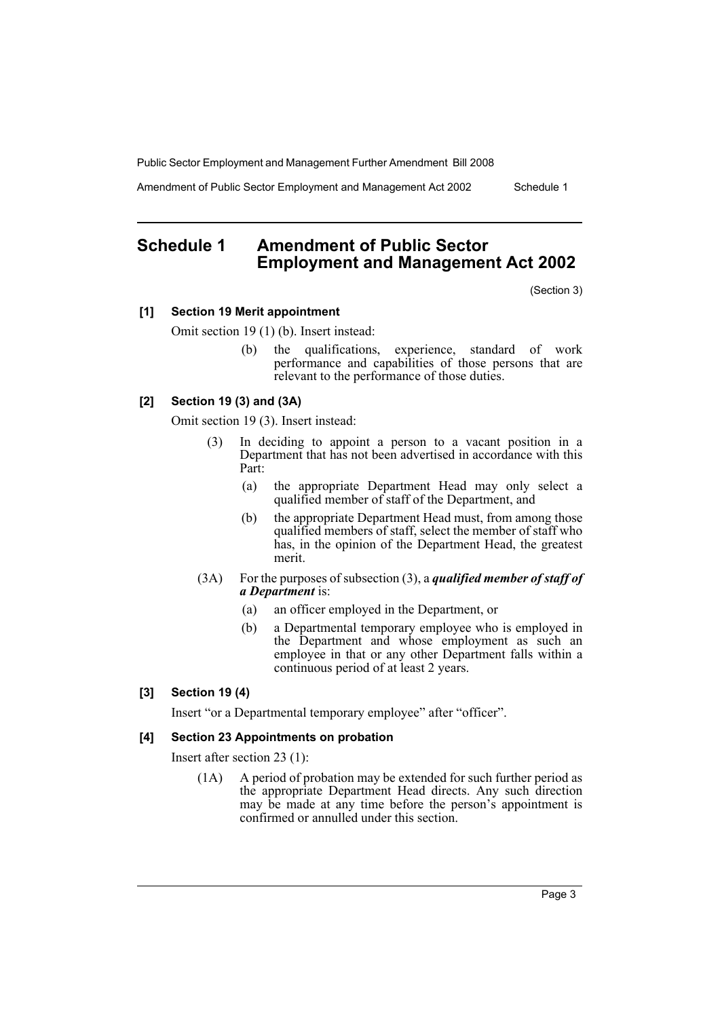Amendment of Public Sector Employment and Management Act 2002 Schedule 1

# <span id="page-3-0"></span>**Schedule 1 Amendment of Public Sector Employment and Management Act 2002**

(Section 3)

#### **[1] Section 19 Merit appointment**

Omit section 19 (1) (b). Insert instead:

(b) the qualifications, experience, standard of work performance and capabilities of those persons that are relevant to the performance of those duties.

# **[2] Section 19 (3) and (3A)**

Omit section 19 (3). Insert instead:

- (3) In deciding to appoint a person to a vacant position in a Department that has not been advertised in accordance with this Part:
	- (a) the appropriate Department Head may only select a qualified member of staff of the Department, and
	- (b) the appropriate Department Head must, from among those qualified members of staff, select the member of staff who has, in the opinion of the Department Head, the greatest merit.
- (3A) For the purposes of subsection (3), a *qualified member of staff of a Department* is:
	- (a) an officer employed in the Department, or
	- (b) a Departmental temporary employee who is employed in the Department and whose employment as such an employee in that or any other Department falls within a continuous period of at least 2 years.

#### **[3] Section 19 (4)**

Insert "or a Departmental temporary employee" after "officer".

#### **[4] Section 23 Appointments on probation**

Insert after section 23 (1):

(1A) A period of probation may be extended for such further period as the appropriate Department Head directs. Any such direction may be made at any time before the person's appointment is confirmed or annulled under this section.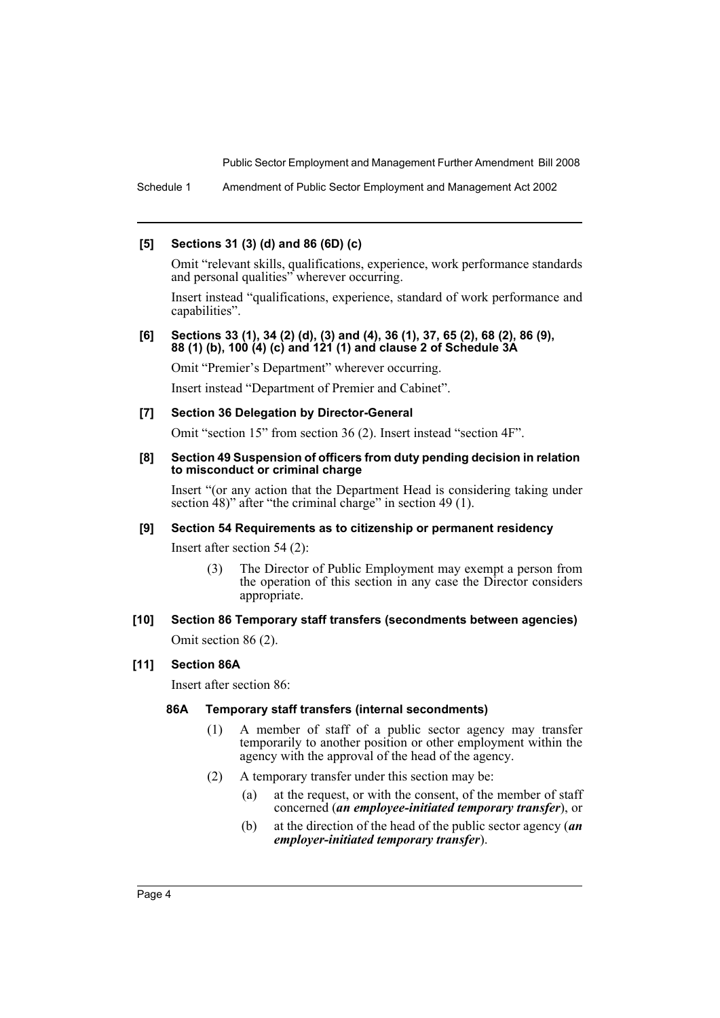Schedule 1 Amendment of Public Sector Employment and Management Act 2002

#### **[5] Sections 31 (3) (d) and 86 (6D) (c)**

Omit "relevant skills, qualifications, experience, work performance standards and personal qualities" wherever occurring.

Insert instead "qualifications, experience, standard of work performance and capabilities".

#### **[6] Sections 33 (1), 34 (2) (d), (3) and (4), 36 (1), 37, 65 (2), 68 (2), 86 (9), 88 (1) (b), 100 (4) (c) and 121 (1) and clause 2 of Schedule 3A**

Omit "Premier's Department" wherever occurring.

Insert instead "Department of Premier and Cabinet".

### **[7] Section 36 Delegation by Director-General**

Omit "section 15" from section 36 (2). Insert instead "section 4F".

#### **[8] Section 49 Suspension of officers from duty pending decision in relation to misconduct or criminal charge**

Insert "(or any action that the Department Head is considering taking under section 48)" after "the criminal charge" in section 49 (1).

#### **[9] Section 54 Requirements as to citizenship or permanent residency**

Insert after section 54 (2):

(3) The Director of Public Employment may exempt a person from the operation of this section in any case the Director considers appropriate.

# **[10] Section 86 Temporary staff transfers (secondments between agencies)**

Omit section 86 (2).

# **[11] Section 86A**

Insert after section 86:

# **86A Temporary staff transfers (internal secondments)**

- (1) A member of staff of a public sector agency may transfer temporarily to another position or other employment within the agency with the approval of the head of the agency.
- (2) A temporary transfer under this section may be:
	- (a) at the request, or with the consent, of the member of staff concerned (*an employee-initiated temporary transfer*), or
	- (b) at the direction of the head of the public sector agency (*an employer-initiated temporary transfer*).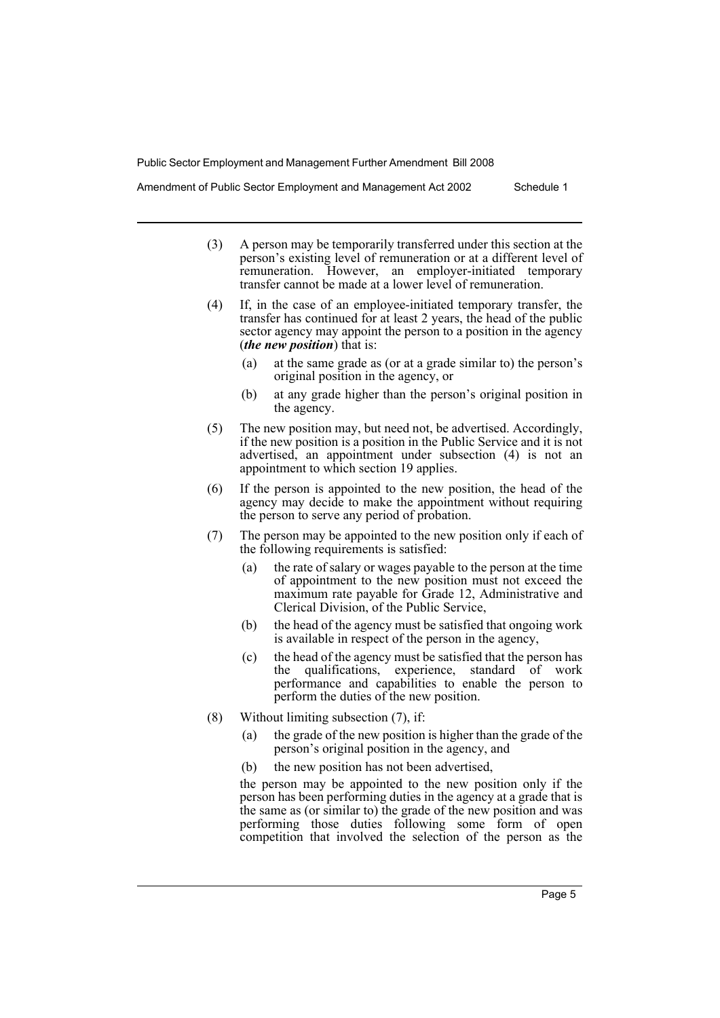Amendment of Public Sector Employment and Management Act 2002 Schedule 1

- (3) A person may be temporarily transferred under this section at the person's existing level of remuneration or at a different level of remuneration. However, an employer-initiated temporary transfer cannot be made at a lower level of remuneration.
- (4) If, in the case of an employee-initiated temporary transfer, the transfer has continued for at least 2 years, the head of the public sector agency may appoint the person to a position in the agency (*the new position*) that is:
	- at the same grade as (or at a grade similar to) the person's original position in the agency, or
	- (b) at any grade higher than the person's original position in the agency.
- (5) The new position may, but need not, be advertised. Accordingly, if the new position is a position in the Public Service and it is not advertised, an appointment under subsection (4) is not an appointment to which section 19 applies.
- (6) If the person is appointed to the new position, the head of the agency may decide to make the appointment without requiring the person to serve any period of probation.
- (7) The person may be appointed to the new position only if each of the following requirements is satisfied:
	- (a) the rate of salary or wages payable to the person at the time of appointment to the new position must not exceed the maximum rate payable for Grade 12, Administrative and Clerical Division, of the Public Service,
	- (b) the head of the agency must be satisfied that ongoing work is available in respect of the person in the agency,
	- (c) the head of the agency must be satisfied that the person has the qualifications, experience, standard of work performance and capabilities to enable the person to perform the duties of the new position.
- (8) Without limiting subsection (7), if:
	- (a) the grade of the new position is higher than the grade of the person's original position in the agency, and
	- (b) the new position has not been advertised,

the person may be appointed to the new position only if the person has been performing duties in the agency at a grade that is the same as (or similar to) the grade of the new position and was performing those duties following some form of open competition that involved the selection of the person as the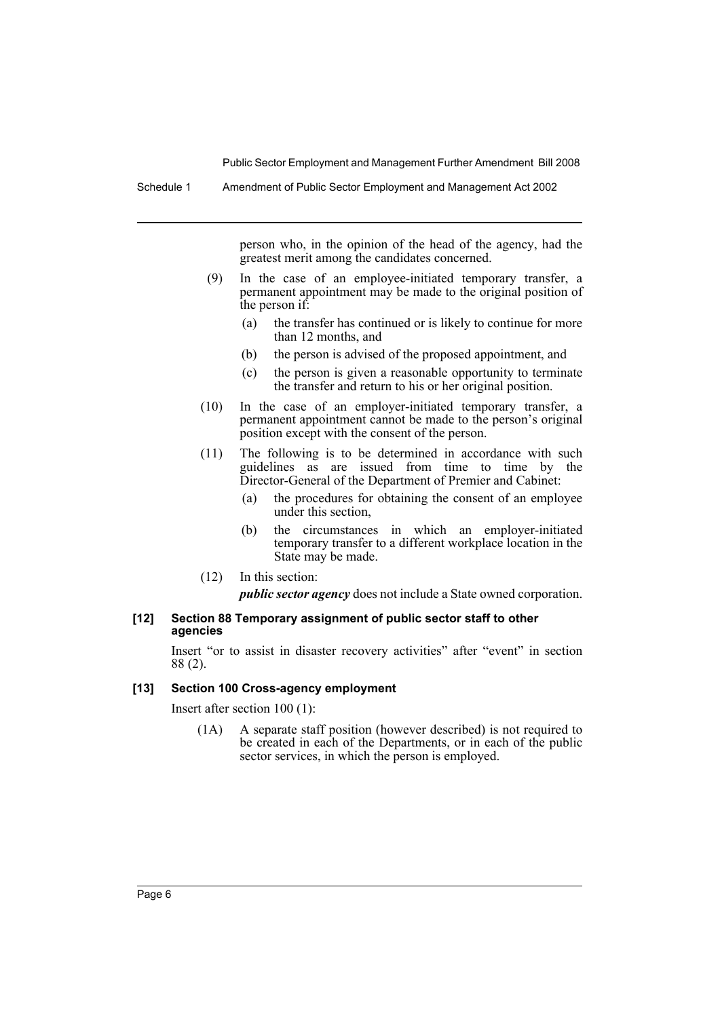Schedule 1 Amendment of Public Sector Employment and Management Act 2002

person who, in the opinion of the head of the agency, had the greatest merit among the candidates concerned.

- (9) In the case of an employee-initiated temporary transfer, a permanent appointment may be made to the original position of the person if:
	- (a) the transfer has continued or is likely to continue for more than 12 months, and
	- (b) the person is advised of the proposed appointment, and
	- (c) the person is given a reasonable opportunity to terminate the transfer and return to his or her original position.
- (10) In the case of an employer-initiated temporary transfer, a permanent appointment cannot be made to the person's original position except with the consent of the person.
- (11) The following is to be determined in accordance with such guidelines as are issued from time to time by the Director-General of the Department of Premier and Cabinet:
	- (a) the procedures for obtaining the consent of an employee under this section,
	- (b) the circumstances in which an employer-initiated temporary transfer to a different workplace location in the State may be made.
- (12) In this section:

*public sector agency* does not include a State owned corporation.

#### **[12] Section 88 Temporary assignment of public sector staff to other agencies**

Insert "or to assist in disaster recovery activities" after "event" in section 88 (2).

#### **[13] Section 100 Cross-agency employment**

Insert after section 100 (1):

(1A) A separate staff position (however described) is not required to be created in each of the Departments, or in each of the public sector services, in which the person is employed.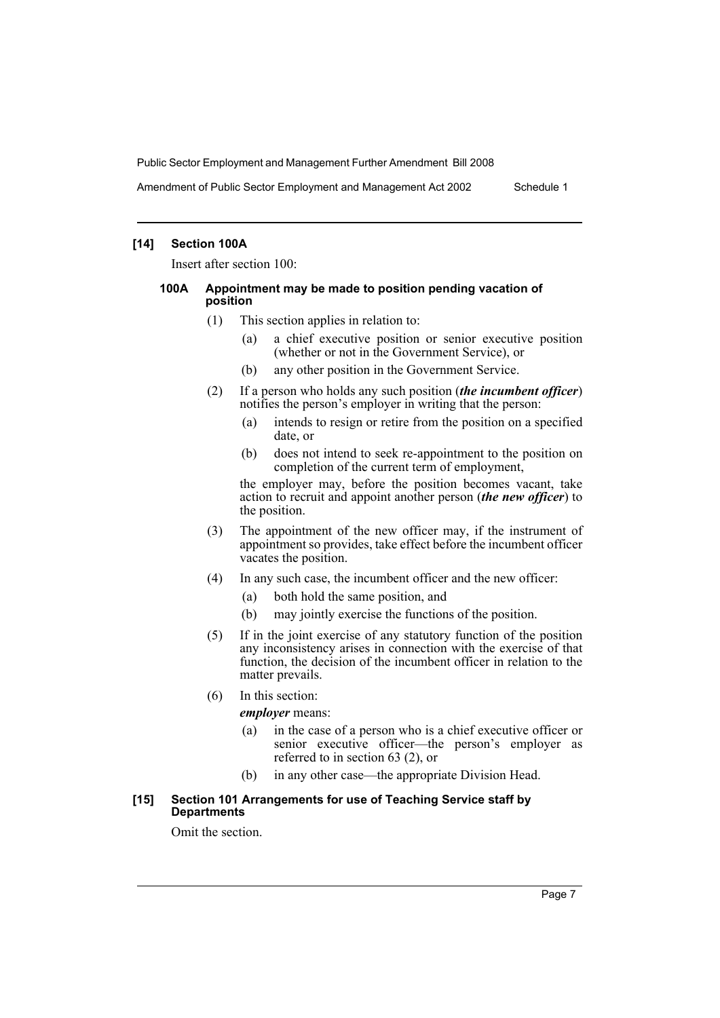Amendment of Public Sector Employment and Management Act 2002 Schedule 1

### **[14] Section 100A**

Insert after section 100:

#### **100A Appointment may be made to position pending vacation of position**

- (1) This section applies in relation to:
	- (a) a chief executive position or senior executive position (whether or not in the Government Service), or
	- (b) any other position in the Government Service.
- (2) If a person who holds any such position (*the incumbent officer*) notifies the person's employer in writing that the person:
	- (a) intends to resign or retire from the position on a specified date, or
	- (b) does not intend to seek re-appointment to the position on completion of the current term of employment,

the employer may, before the position becomes vacant, take action to recruit and appoint another person (*the new officer*) to the position.

- (3) The appointment of the new officer may, if the instrument of appointment so provides, take effect before the incumbent officer vacates the position.
- (4) In any such case, the incumbent officer and the new officer:
	- (a) both hold the same position, and
	- (b) may jointly exercise the functions of the position.
- (5) If in the joint exercise of any statutory function of the position any inconsistency arises in connection with the exercise of that function, the decision of the incumbent officer in relation to the matter prevails.
- (6) In this section:

*employer* means:

- (a) in the case of a person who is a chief executive officer or senior executive officer—the person's employer as referred to in section 63 (2), or
- (b) in any other case—the appropriate Division Head.

#### **[15] Section 101 Arrangements for use of Teaching Service staff by Departments**

Omit the section.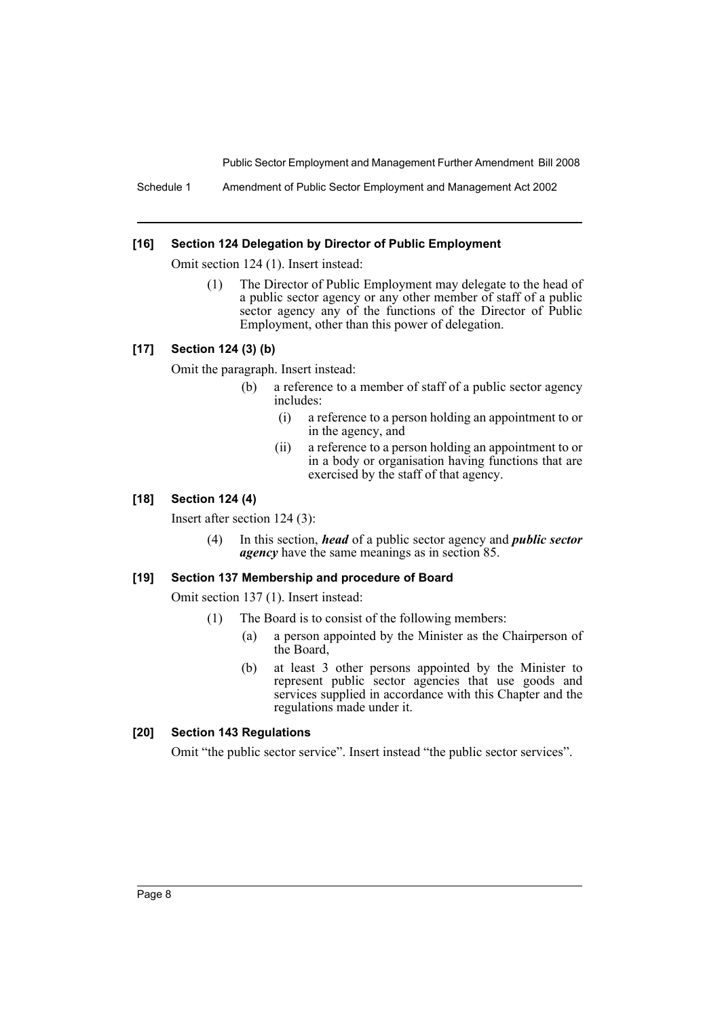Schedule 1 Amendment of Public Sector Employment and Management Act 2002

#### **[16] Section 124 Delegation by Director of Public Employment**

Omit section 124 (1). Insert instead:

(1) The Director of Public Employment may delegate to the head of a public sector agency or any other member of staff of a public sector agency any of the functions of the Director of Public Employment, other than this power of delegation.

## **[17] Section 124 (3) (b)**

Omit the paragraph. Insert instead:

- (b) a reference to a member of staff of a public sector agency includes:
	- (i) a reference to a person holding an appointment to or in the agency, and
	- (ii) a reference to a person holding an appointment to or in a body or organisation having functions that are exercised by the staff of that agency.

### **[18] Section 124 (4)**

Insert after section 124 (3):

(4) In this section, *head* of a public sector agency and *public sector agency* have the same meanings as in section 85.

#### **[19] Section 137 Membership and procedure of Board**

Omit section 137 (1). Insert instead:

- (1) The Board is to consist of the following members:
	- (a) a person appointed by the Minister as the Chairperson of the Board,
	- (b) at least 3 other persons appointed by the Minister to represent public sector agencies that use goods and services supplied in accordance with this Chapter and the regulations made under it.

# **[20] Section 143 Regulations**

Omit "the public sector service". Insert instead "the public sector services".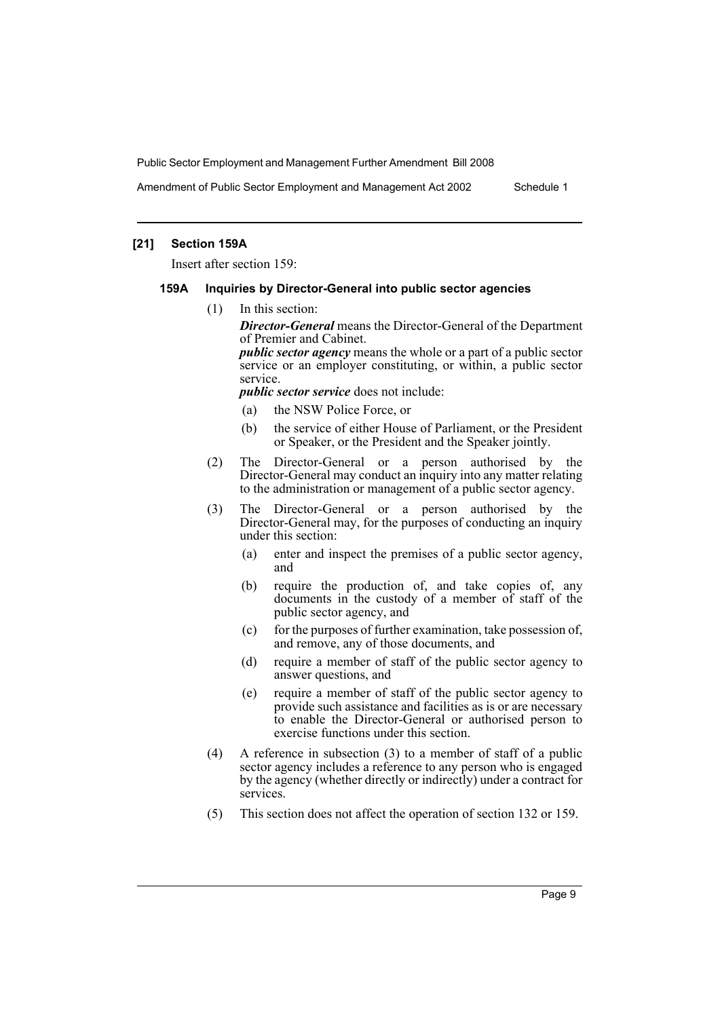Amendment of Public Sector Employment and Management Act 2002 Schedule 1

### **[21] Section 159A**

Insert after section 159:

#### **159A Inquiries by Director-General into public sector agencies**

(1) In this section:

*Director-General* means the Director-General of the Department of Premier and Cabinet.

*public sector agency* means the whole or a part of a public sector service or an employer constituting, or within, a public sector service.

*public sector service* does not include:

- (a) the NSW Police Force, or
- (b) the service of either House of Parliament, or the President or Speaker, or the President and the Speaker jointly.
- (2) The Director-General or a person authorised by the Director-General may conduct an inquiry into any matter relating to the administration or management of a public sector agency.
- (3) The Director-General or a person authorised by the Director-General may, for the purposes of conducting an inquiry under this section:
	- (a) enter and inspect the premises of a public sector agency, and
	- (b) require the production of, and take copies of, any documents in the custody of a member of staff of the public sector agency, and
	- (c) for the purposes of further examination, take possession of, and remove, any of those documents, and
	- (d) require a member of staff of the public sector agency to answer questions, and
	- (e) require a member of staff of the public sector agency to provide such assistance and facilities as is or are necessary to enable the Director-General or authorised person to exercise functions under this section.
- (4) A reference in subsection (3) to a member of staff of a public sector agency includes a reference to any person who is engaged by the agency (whether directly or indirectly) under a contract for services.
- (5) This section does not affect the operation of section 132 or 159.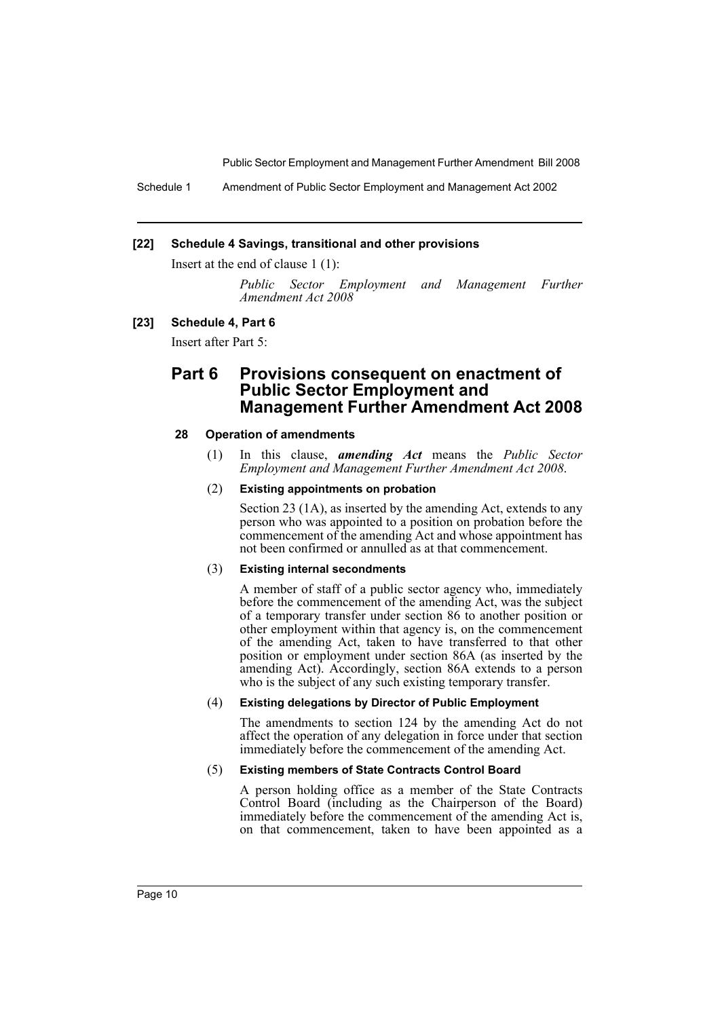Schedule 1 Amendment of Public Sector Employment and Management Act 2002

#### **[22] Schedule 4 Savings, transitional and other provisions**

Insert at the end of clause 1 (1):

*Public Sector Employment and Management Further Amendment Act 2008*

#### **[23] Schedule 4, Part 6**

Insert after Part 5:

# **Part 6 Provisions consequent on enactment of Public Sector Employment and Management Further Amendment Act 2008**

#### **28 Operation of amendments**

(1) In this clause, *amending Act* means the *Public Sector Employment and Management Further Amendment Act 2008*.

#### (2) **Existing appointments on probation**

Section 23 (1A), as inserted by the amending Act, extends to any person who was appointed to a position on probation before the commencement of the amending Act and whose appointment has not been confirmed or annulled as at that commencement.

#### (3) **Existing internal secondments**

A member of staff of a public sector agency who, immediately before the commencement of the amending Act, was the subject of a temporary transfer under section 86 to another position or other employment within that agency is, on the commencement of the amending Act, taken to have transferred to that other position or employment under section 86A (as inserted by the amending Act). Accordingly, section 86A extends to a person who is the subject of any such existing temporary transfer.

#### (4) **Existing delegations by Director of Public Employment**

The amendments to section 124 by the amending Act do not affect the operation of any delegation in force under that section immediately before the commencement of the amending Act.

#### (5) **Existing members of State Contracts Control Board**

A person holding office as a member of the State Contracts Control Board (including as the Chairperson of the Board) immediately before the commencement of the amending Act is, on that commencement, taken to have been appointed as a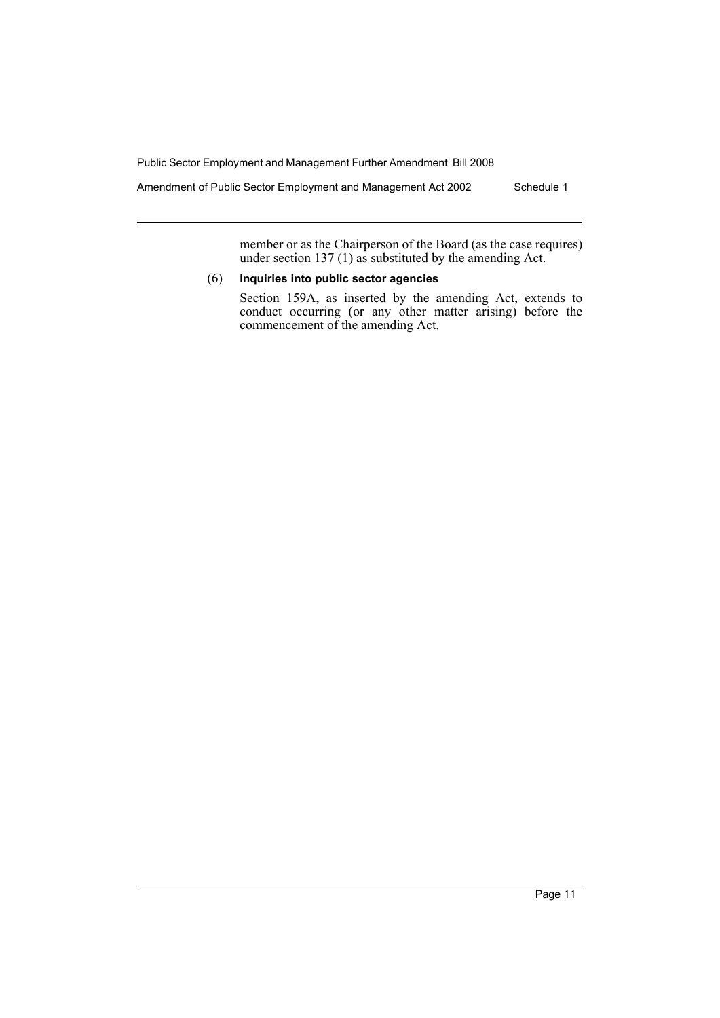Amendment of Public Sector Employment and Management Act 2002 Schedule 1

member or as the Chairperson of the Board (as the case requires) under section 137 (1) as substituted by the amending Act.

# (6) **Inquiries into public sector agencies**

Section 159A, as inserted by the amending Act, extends to conduct occurring (or any other matter arising) before the commencement of the amending Act.